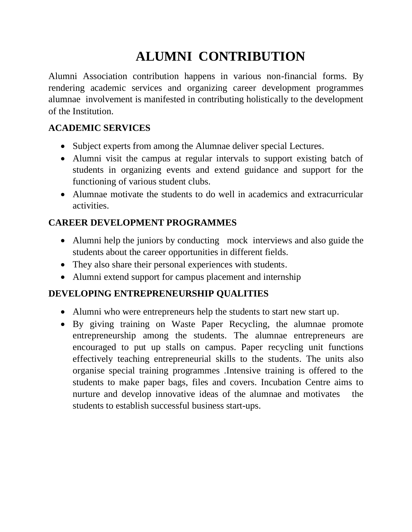## **ALUMNI CONTRIBUTION**

Alumni Association contribution happens in various non-financial forms. By rendering academic services and organizing career development programmes alumnae involvement is manifested in contributing holistically to the development of the Institution.

## **ACADEMIC SERVICES**

- Subject experts from among the Alumnae deliver special Lectures.
- Alumni visit the campus at regular intervals to support existing batch of students in organizing events and extend guidance and support for the functioning of various student clubs.
- Alumnae motivate the students to do well in academics and extracurricular activities.

## **CAREER DEVELOPMENT PROGRAMMES**

- Alumni help the juniors by conducting mock interviews and also guide the students about the career opportunities in different fields.
- They also share their personal experiences with students.
- Alumni extend support for campus placement and internship

## **DEVELOPING ENTREPRENEURSHIP QUALITIES**

- Alumni who were entrepreneurs help the students to start new start up.
- By giving training on Waste Paper Recycling, the alumnae promote entrepreneurship among the students. The alumnae entrepreneurs are encouraged to put up stalls on campus. Paper recycling unit functions effectively teaching entrepreneurial skills to the students. The units also organise special training programmes .Intensive training is offered to the students to make paper bags, files and covers. Incubation Centre aims to nurture and develop innovative ideas of the alumnae and motivates the students to establish successful business start-ups.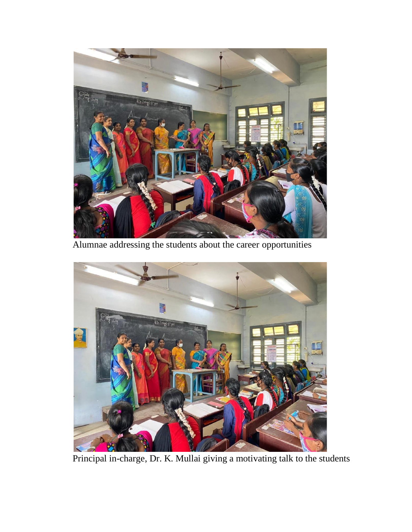

Alumnae addressing the students about the career opportunities



Principal in-charge, Dr. K. Mullai giving a motivating talk to the students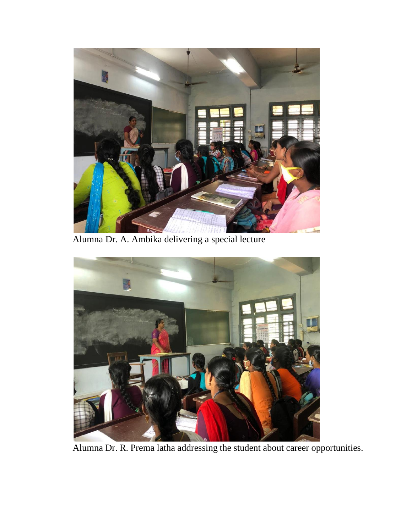

Alumna Dr. A. Ambika delivering a special lecture



Alumna Dr. R. Prema latha addressing the student about career opportunities.